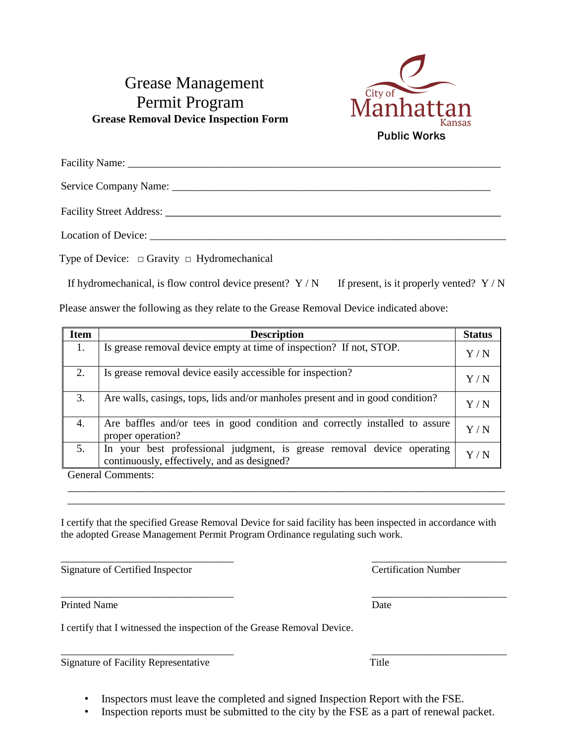## Grease Management Permit Program **Grease Removal Device Inspection Form**



Type of Device:  $\Box$  Gravity  $\Box$  Hydromechanical

If hydromechanical, is flow control device present?  $Y/N$  If present, is it properly vented?  $Y/N$ 

Please answer the following as they relate to the Grease Removal Device indicated above:

| <b>Item</b> | <b>Description</b>                                                                                                    | <b>Status</b>     |
|-------------|-----------------------------------------------------------------------------------------------------------------------|-------------------|
| 1.          | Is grease removal device empty at time of inspection? If not, STOP.                                                   | $\rm Y$ / $\rm N$ |
| 2.          | Is grease removal device easily accessible for inspection?                                                            | $\rm Y$ / $\rm N$ |
| 3.          | Are walls, casings, tops, lids and/or manholes present and in good condition?                                         | $\rm Y$ / $\rm N$ |
| 4.          | Are baffles and/or tees in good condition and correctly installed to assure<br>proper operation?                      | $\rm Y$ / $\rm N$ |
| 5.          | In your best professional judgment, is grease removal device operating<br>continuously, effectively, and as designed? | Y/N               |

General Comments:

I certify that the specified Grease Removal Device for said facility has been inspected in accordance with the adopted Grease Management Permit Program Ordinance regulating such work.

\_\_\_\_\_\_\_\_\_\_\_\_\_\_\_\_\_\_\_\_\_\_\_\_\_\_\_\_\_\_\_\_\_\_\_\_\_\_\_\_\_\_\_\_\_\_\_\_\_\_\_\_\_\_\_\_\_\_\_\_\_\_\_\_\_\_\_\_\_\_\_\_\_\_\_\_\_\_\_\_\_ \_\_\_\_\_\_\_\_\_\_\_\_\_\_\_\_\_\_\_\_\_\_\_\_\_\_\_\_\_\_\_\_\_\_\_\_\_\_\_\_\_\_\_\_\_\_\_\_\_\_\_\_\_\_\_\_\_\_\_\_\_\_\_\_\_\_\_\_\_\_\_\_\_\_\_\_\_\_\_\_\_

\_\_\_\_\_\_\_\_\_\_\_\_\_\_\_\_\_\_\_\_\_\_\_\_\_\_\_\_\_\_\_\_ \_\_\_\_\_\_\_\_\_\_\_\_\_\_\_\_\_\_\_\_\_\_\_\_\_ Signature of Certified Inspector Certification Number

Printed Name Date

I certify that I witnessed the inspection of the Grease Removal Device.

Signature of Facility Representative Title

- Inspectors must leave the completed and signed Inspection Report with the FSE.
- Inspection reports must be submitted to the city by the FSE as a part of renewal packet.

\_\_\_\_\_\_\_\_\_\_\_\_\_\_\_\_\_\_\_\_\_\_\_\_\_\_\_\_\_\_\_\_ \_\_\_\_\_\_\_\_\_\_\_\_\_\_\_\_\_\_\_\_\_\_\_\_\_

\_\_\_\_\_\_\_\_\_\_\_\_\_\_\_\_\_\_\_\_\_\_\_\_\_\_\_\_\_\_\_\_ \_\_\_\_\_\_\_\_\_\_\_\_\_\_\_\_\_\_\_\_\_\_\_\_\_